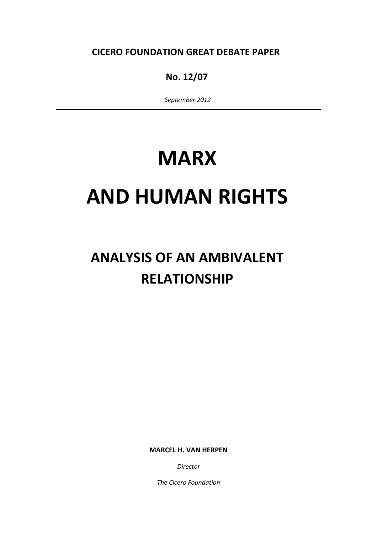CICERO FOUNDATION GREAT DEBATE PAPER

# No. 12/07

September 2012

# **MARX**

# AND HUMAN RIGHTS

# ANALYSIS OF AN AMBIVALENT RELATIONSHIP

MARCEL H. VAN HERPEN

Director

The Cicero Foundation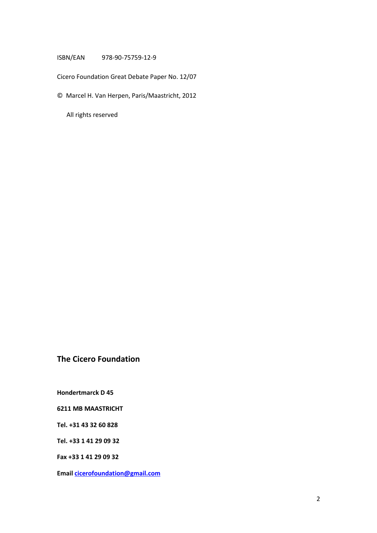#### ISBN/EAN 978-90-75759-12-9

Cicero Foundation Great Debate Paper No. 12/07

© Marcel H. Van Herpen, Paris/Maastricht, 2012

All rights reserved

## The Cicero Foundation

Hondertmarck D 45

6211 MB MAASTRICHT

Tel. +31 43 32 60 828

Tel. +33 1 41 29 09 32

Fax +33 1 41 29 09 32

Email cicerofoundation@gmail.com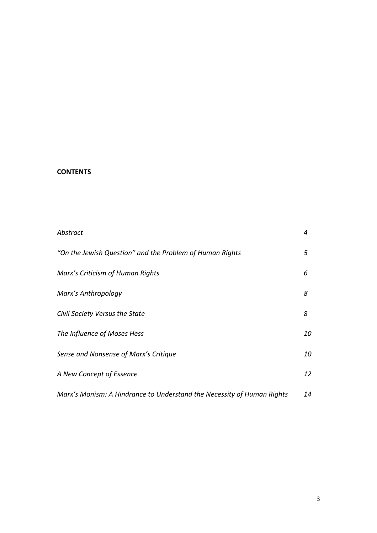## **CONTENTS**

| Abstract                                                               | 4  |
|------------------------------------------------------------------------|----|
| "On the Jewish Question" and the Problem of Human Rights               | 5  |
| Marx's Criticism of Human Rights                                       | 6  |
| Marx's Anthropology                                                    | 8  |
| Civil Society Versus the State                                         | 8  |
| The Influence of Moses Hess                                            | 10 |
| Sense and Nonsense of Marx's Critique                                  |    |
| A New Concept of Essence                                               | 12 |
| Marx's Monism: A Hindrance to Understand the Necessity of Human Rights | 14 |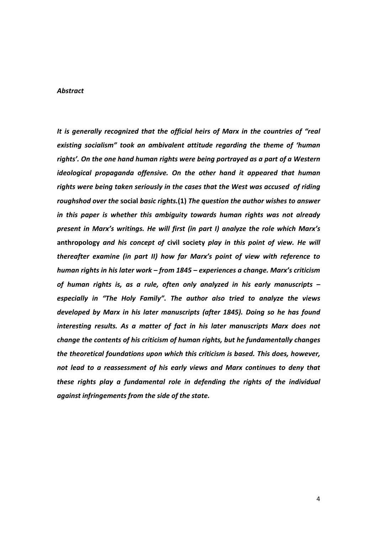#### Abstract

It is generally recognized that the official heirs of Marx in the countries of "real existing socialism" took an ambivalent attitude regarding the theme of 'human rights'. On the one hand human rights were being portrayed as a part of a Western ideological propaganda offensive. On the other hand it appeared that human rights were being taken seriously in the cases that the West was accused of riding roughshod over the social basic rights.(1) The question the author wishes to answer in this paper is whether this ambiguity towards human rights was not already present in Marx's writings. He will first (in part I) analyze the role which Marx's anthropology and his concept of civil society play in this point of view. He will thereafter examine (in part II) how far Marx's point of view with reference to human rights in his later work – from 1845 – experiences a change. Marx's criticism of human rights is, as a rule, often only analyzed in his early manuscripts – especially in "The Holy Family". The author also tried to analyze the views developed by Marx in his later manuscripts (after 1845). Doing so he has found interesting results. As a matter of fact in his later manuscripts Marx does not change the contents of his criticism of human rights, but he fundamentally changes the theoretical foundations upon which this criticism is based. This does, however, not lead to a reassessment of his early views and Marx continues to deny that these rights play a fundamental role in defending the rights of the individual against infringements from the side of the state.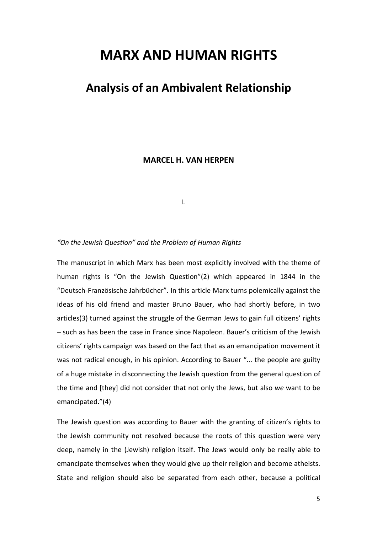# MARX AND HUMAN RIGHTS

# Analysis of an Ambivalent Relationship

MARCEL H. VAN HERPEN

**I.** The contract of the contract of the contract of the contract of the contract of the contract of the contract of

#### "On the Jewish Question" and the Problem of Human Rights

The manuscript in which Marx has been most explicitly involved with the theme of human rights is "On the Jewish Question"(2) which appeared in 1844 in the "Deutsch-Französische Jahrbücher". In this article Marx turns polemically against the ideas of his old friend and master Bruno Bauer, who had shortly before, in two articles(3) turned against the struggle of the German Jews to gain full citizens' rights – such as has been the case in France since Napoleon. Bauer's criticism of the Jewish citizens' rights campaign was based on the fact that as an emancipation movement it was not radical enough, in his opinion. According to Bauer "... the people are guilty of a huge mistake in disconnecting the Jewish question from the general question of the time and [they] did not consider that not only the Jews, but also we want to be emancipated."(4)

The Jewish question was according to Bauer with the granting of citizen's rights to the Jewish community not resolved because the roots of this question were very deep, namely in the (Jewish) religion itself. The Jews would only be really able to emancipate themselves when they would give up their religion and become atheists. State and religion should also be separated from each other, because a political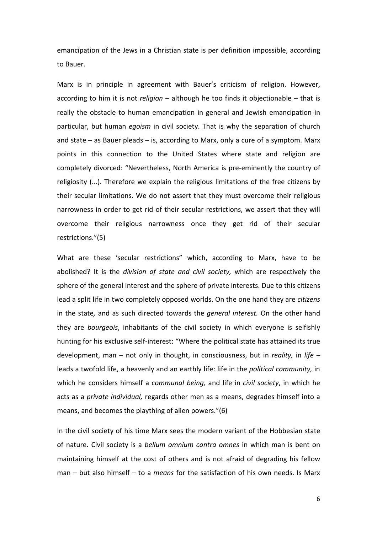emancipation of the Jews in a Christian state is per definition impossible, according to Bauer.

Marx is in principle in agreement with Bauer's criticism of religion. However, according to him it is not religion  $-$  although he too finds it objectionable  $-$  that is really the obstacle to human emancipation in general and Jewish emancipation in particular, but human *egoism* in civil society. That is why the separation of church and state – as Bauer pleads – is, according to Marx, only a cure of a symptom. Marx points in this connection to the United States where state and religion are completely divorced: "Nevertheless, North America is pre-eminently the country of religiosity (...). Therefore we explain the religious limitations of the free citizens by their secular limitations. We do not assert that they must overcome their religious narrowness in order to get rid of their secular restrictions, we assert that they will overcome their religious narrowness once they get rid of their secular restrictions."(5)

What are these 'secular restrictions" which, according to Marx, have to be abolished? It is the *division of state and civil society*, which are respectively the sphere of the general interest and the sphere of private interests. Due to this citizens lead a split life in two completely opposed worlds. On the one hand they are citizens in the state, and as such directed towards the general interest. On the other hand they are bourgeois, inhabitants of the civil society in which everyone is selfishly hunting for his exclusive self-interest: "Where the political state has attained its true development, man – not only in thought, in consciousness, but in reality, in life – leads a twofold life, a heavenly and an earthly life: life in the political community, in which he considers himself a *communal being*, and life in *civil society*, in which he acts as a private individual, regards other men as a means, degrades himself into a means, and becomes the plaything of alien powers."(6)

In the civil society of his time Marx sees the modern variant of the Hobbesian state of nature. Civil society is a bellum omnium contra omnes in which man is bent on maintaining himself at the cost of others and is not afraid of degrading his fellow man – but also himself – to a *means* for the satisfaction of his own needs. Is Marx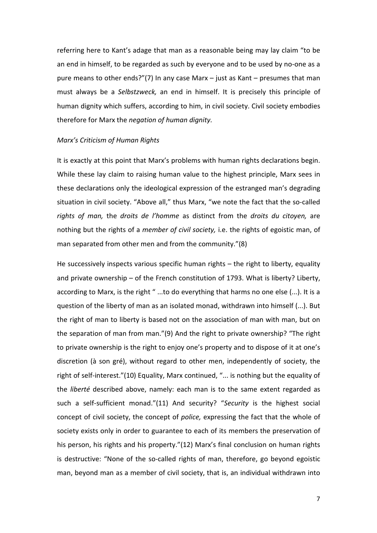referring here to Kant's adage that man as a reasonable being may lay claim "to be an end in himself, to be regarded as such by everyone and to be used by no-one as a pure means to other ends?"(7) In any case Marx – just as Kant – presumes that man must always be a Selbstzweck, an end in himself. It is precisely this principle of human dignity which suffers, according to him, in civil society. Civil society embodies therefore for Marx the negation of human dignity.

#### Marx's Criticism of Human Rights

It is exactly at this point that Marx's problems with human rights declarations begin. While these lay claim to raising human value to the highest principle, Marx sees in these declarations only the ideological expression of the estranged man's degrading situation in civil society. "Above all," thus Marx, "we note the fact that the so-called rights of man, the droits de l'homme as distinct from the droits du citoyen, are nothing but the rights of a *member of civil society*, i.e. the rights of egoistic man, of man separated from other men and from the community."(8)

He successively inspects various specific human rights – the right to liberty, equality and private ownership – of the French constitution of 1793. What is liberty? Liberty, according to Marx, is the right "...to do everything that harms no one else (...). It is a question of the liberty of man as an isolated monad, withdrawn into himself (...). But the right of man to liberty is based not on the association of man with man, but on the separation of man from man."(9) And the right to private ownership? "The right to private ownership is the right to enjoy one's property and to dispose of it at one's discretion (à son gré), without regard to other men, independently of society, the right of self-interest."(10) Equality, Marx continued, "... is nothing but the equality of the liberté described above, namely: each man is to the same extent regarded as such a self-sufficient monad."(11) And security? "Security is the highest social concept of civil society, the concept of *police*, expressing the fact that the whole of society exists only in order to guarantee to each of its members the preservation of his person, his rights and his property."(12) Marx's final conclusion on human rights is destructive: "None of the so-called rights of man, therefore, go beyond egoistic man, beyond man as a member of civil society, that is, an individual withdrawn into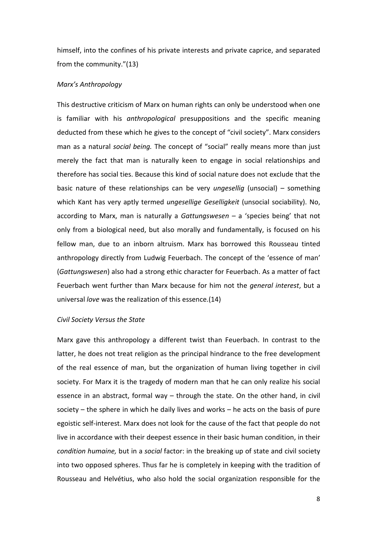himself, into the confines of his private interests and private caprice, and separated from the community."(13)

#### Marx's Anthropology

This destructive criticism of Marx on human rights can only be understood when one is familiar with his *anthropological* presuppositions and the specific meaning deducted from these which he gives to the concept of "civil society". Marx considers man as a natural social being. The concept of "social" really means more than just merely the fact that man is naturally keen to engage in social relationships and therefore has social ties. Because this kind of social nature does not exclude that the basic nature of these relationships can be very *ungesellig* (unsocial) – something which Kant has very aptly termed *ungesellige Geselligkeit* (unsocial sociability). No, according to Marx, man is naturally a Gattungswesen  $-$  a 'species being' that not only from a biological need, but also morally and fundamentally, is focused on his fellow man, due to an inborn altruism. Marx has borrowed this Rousseau tinted anthropology directly from Ludwig Feuerbach. The concept of the 'essence of man' (Gattungswesen) also had a strong ethic character for Feuerbach. As a matter of fact Feuerbach went further than Marx because for him not the *general interest*, but a universal love was the realization of this essence.(14)

#### Civil Society Versus the State

Marx gave this anthropology a different twist than Feuerbach. In contrast to the latter, he does not treat religion as the principal hindrance to the free development of the real essence of man, but the organization of human living together in civil society. For Marx it is the tragedy of modern man that he can only realize his social essence in an abstract, formal way – through the state. On the other hand, in civil society – the sphere in which he daily lives and works – he acts on the basis of pure egoistic self-interest. Marx does not look for the cause of the fact that people do not live in accordance with their deepest essence in their basic human condition, in their condition humaine, but in a social factor: in the breaking up of state and civil society into two opposed spheres. Thus far he is completely in keeping with the tradition of Rousseau and Helvétius, who also hold the social organization responsible for the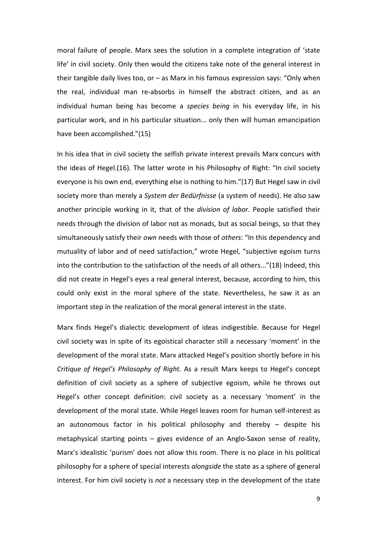moral failure of people. Marx sees the solution in a complete integration of 'state life' in civil society. Only then would the citizens take note of the general interest in their tangible daily lives too, or – as Marx in his famous expression says: "Only when the real, individual man re-absorbs in himself the abstract citizen, and as an individual human being has become a *species being* in his everyday life, in his particular work, and in his particular situation... only then will human emancipation have been accomplished."(15)

In his idea that in civil society the selfish private interest prevails Marx concurs with the ideas of Hegel.(16). The latter wrote in his Philosophy of Right: "In civil society everyone is his own end, everything else is nothing to him."(17) But Hegel saw in civil society more than merely a System der Bedürfnisse (a system of needs). He also saw another principle working in it, that of the *division of labor*. People satisfied their needs through the division of labor not as monads, but as social beings, so that they simultaneously satisfy their *own* needs with those of *others*: "In this dependency and mutuality of labor and of need satisfaction," wrote Hegel, "subjective egoism turns into the contribution to the satisfaction of the needs of all others..."(18) Indeed, this did not create in Hegel's eyes a real general interest, because, according to him, this could only exist in the moral sphere of the state. Nevertheless, he saw it as an important step in the realization of the moral general interest in the state.

Marx finds Hegel's dialectic development of ideas indigestible. Because for Hegel civil society was in spite of its egoistical character still a necessary 'moment' in the development of the moral state. Marx attacked Hegel's position shortly before in his Critique of Hegel's Philosophy of Right. As a result Marx keeps to Hegel's concept definition of civil society as a sphere of subjective egoism, while he throws out Hegel's other concept definition: civil society as a necessary 'moment' in the development of the moral state. While Hegel leaves room for human self-interest as an autonomous factor in his political philosophy and thereby – despite his metaphysical starting points – gives evidence of an Anglo-Saxon sense of reality, Marx's idealistic 'purism' does not allow this room. There is no place in his political philosophy for a sphere of special interests alongside the state as a sphere of general interest. For him civil society is not a necessary step in the development of the state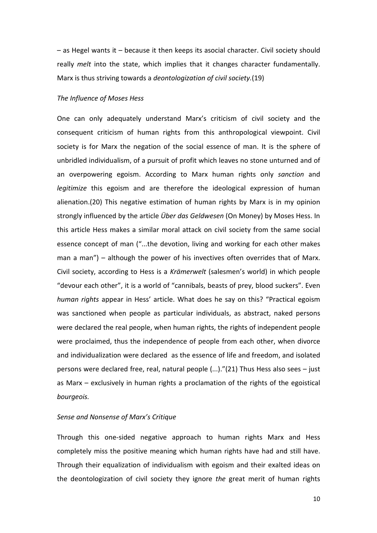– as Hegel wants it – because it then keeps its asocial character. Civil society should really melt into the state, which implies that it changes character fundamentally. Marx is thus striving towards a deontologization of civil society.(19)

#### The Influence of Moses Hess

One can only adequately understand Marx's criticism of civil society and the consequent criticism of human rights from this anthropological viewpoint. Civil society is for Marx the negation of the social essence of man. It is the sphere of unbridled individualism, of a pursuit of profit which leaves no stone unturned and of an overpowering egoism. According to Marx human rights only sanction and legitimize this egoism and are therefore the ideological expression of human alienation.(20) This negative estimation of human rights by Marx is in my opinion strongly influenced by the article *Über das Geldwesen* (On Money) by Moses Hess. In this article Hess makes a similar moral attack on civil society from the same social essence concept of man ("...the devotion, living and working for each other makes man a man") – although the power of his invectives often overrides that of Marx. Civil society, according to Hess is a Krämerwelt (salesmen's world) in which people "devour each other", it is a world of "cannibals, beasts of prey, blood suckers". Even human rights appear in Hess' article. What does he say on this? "Practical egoism was sanctioned when people as particular individuals, as abstract, naked persons were declared the real people, when human rights, the rights of independent people were proclaimed, thus the independence of people from each other, when divorce and individualization were declared as the essence of life and freedom, and isolated persons were declared free, real, natural people (...)."(21) Thus Hess also sees – just as Marx – exclusively in human rights a proclamation of the rights of the egoistical bourgeois.

#### Sense and Nonsense of Marx's Critique

Through this one-sided negative approach to human rights Marx and Hess completely miss the positive meaning which human rights have had and still have. Through their equalization of individualism with egoism and their exalted ideas on the deontologization of civil society they ignore the great merit of human rights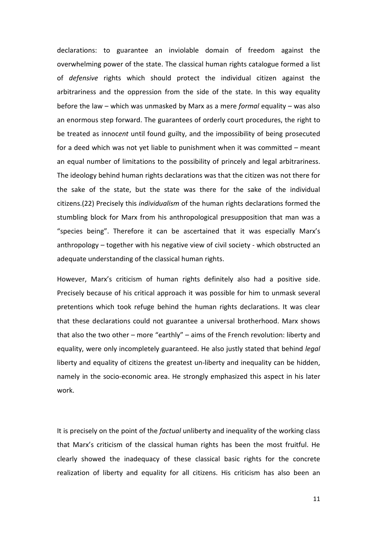declarations: to guarantee an inviolable domain of freedom against the overwhelming power of the state. The classical human rights catalogue formed a list of defensive rights which should protect the individual citizen against the arbitrariness and the oppression from the side of the state. In this way equality before the law – which was unmasked by Marx as a mere *formal* equality – was also an enormous step forward. The guarantees of orderly court procedures, the right to be treated as innocent until found guilty, and the impossibility of being prosecuted for a deed which was not yet liable to punishment when it was committed – meant an equal number of limitations to the possibility of princely and legal arbitrariness. The ideology behind human rights declarations was that the citizen was not there for the sake of the state, but the state was there for the sake of the individual citizens.(22) Precisely this individualism of the human rights declarations formed the stumbling block for Marx from his anthropological presupposition that man was a "species being". Therefore it can be ascertained that it was especially Marx's anthropology – together with his negative view of civil society - which obstructed an adequate understanding of the classical human rights.

However, Marx's criticism of human rights definitely also had a positive side. Precisely because of his critical approach it was possible for him to unmask several pretentions which took refuge behind the human rights declarations. It was clear that these declarations could not guarantee a universal brotherhood. Marx shows that also the two other – more "earthly" – aims of the French revolution: liberty and equality, were only incompletely guaranteed. He also justly stated that behind legal liberty and equality of citizens the greatest un-liberty and inequality can be hidden, namely in the socio-economic area. He strongly emphasized this aspect in his later work.

It is precisely on the point of the *factual* unliberty and inequality of the working class that Marx's criticism of the classical human rights has been the most fruitful. He clearly showed the inadequacy of these classical basic rights for the concrete realization of liberty and equality for all citizens. His criticism has also been an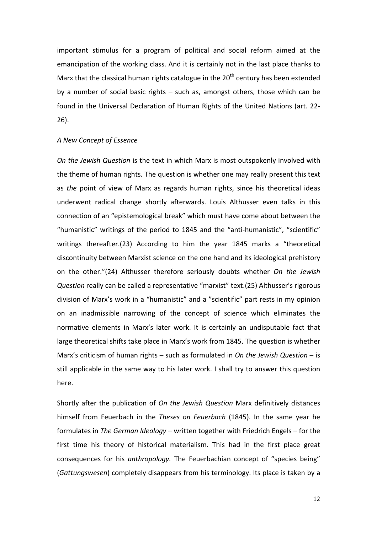important stimulus for a program of political and social reform aimed at the emancipation of the working class. And it is certainly not in the last place thanks to Marx that the classical human rights catalogue in the  $20<sup>th</sup>$  century has been extended by a number of social basic rights – such as, amongst others, those which can be found in the Universal Declaration of Human Rights of the United Nations (art. 22- 26).

#### A New Concept of Essence

On the Jewish Question is the text in which Marx is most outspokenly involved with the theme of human rights. The question is whether one may really present this text as the point of view of Marx as regards human rights, since his theoretical ideas underwent radical change shortly afterwards. Louis Althusser even talks in this connection of an "epistemological break" which must have come about between the "humanistic" writings of the period to 1845 and the "anti-humanistic", "scientific" writings thereafter.(23) According to him the year 1845 marks a "theoretical discontinuity between Marxist science on the one hand and its ideological prehistory on the other."(24) Althusser therefore seriously doubts whether On the Jewish Question really can be called a representative "marxist" text.(25) Althusser's rigorous division of Marx's work in a "humanistic" and a "scientific" part rests in my opinion on an inadmissible narrowing of the concept of science which eliminates the normative elements in Marx's later work. It is certainly an undisputable fact that large theoretical shifts take place in Marx's work from 1845. The question is whether Marx's criticism of human rights – such as formulated in On the Jewish Question – is still applicable in the same way to his later work. I shall try to answer this question here.

Shortly after the publication of On the Jewish Question Marx definitively distances himself from Feuerbach in the Theses on Feuerbach (1845). In the same year he formulates in The German Ideology – written together with Friedrich Engels – for the first time his theory of historical materialism. This had in the first place great consequences for his anthropology. The Feuerbachian concept of "species being" (Gattungswesen) completely disappears from his terminology. Its place is taken by a

12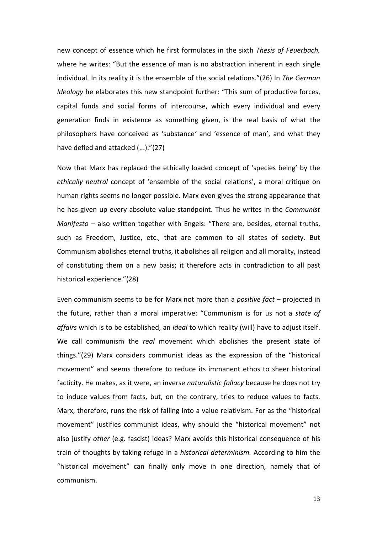new concept of essence which he first formulates in the sixth Thesis of Feuerbach, where he writes: "But the essence of man is no abstraction inherent in each single individual. In its reality it is the ensemble of the social relations."(26) In The German Ideology he elaborates this new standpoint further: "This sum of productive forces, capital funds and social forms of intercourse, which every individual and every generation finds in existence as something given, is the real basis of what the philosophers have conceived as 'substance' and 'essence of man', and what they have defied and attacked (...)."(27)

Now that Marx has replaced the ethically loaded concept of 'species being' by the ethically neutral concept of 'ensemble of the social relations', a moral critique on human rights seems no longer possible. Marx even gives the strong appearance that he has given up every absolute value standpoint. Thus he writes in the Communist Manifesto – also written together with Engels: "There are, besides, eternal truths, such as Freedom, Justice, etc., that are common to all states of society. But Communism abolishes eternal truths, it abolishes all religion and all morality, instead of constituting them on a new basis; it therefore acts in contradiction to all past historical experience."(28)

Even communism seems to be for Marx not more than a *positive fact* – projected in the future, rather than a moral imperative: "Communism is for us not a state of affairs which is to be established, an ideal to which reality (will) have to adjust itself. We call communism the real movement which abolishes the present state of things."(29) Marx considers communist ideas as the expression of the "historical movement" and seems therefore to reduce its immanent ethos to sheer historical facticity. He makes, as it were, an inverse naturalistic fallacy because he does not try to induce values from facts, but, on the contrary, tries to reduce values to facts. Marx, therefore, runs the risk of falling into a value relativism. For as the "historical movement" justifies communist ideas, why should the "historical movement" not also justify other (e.g. fascist) ideas? Marx avoids this historical consequence of his train of thoughts by taking refuge in a historical determinism. According to him the "historical movement" can finally only move in one direction, namely that of communism.

13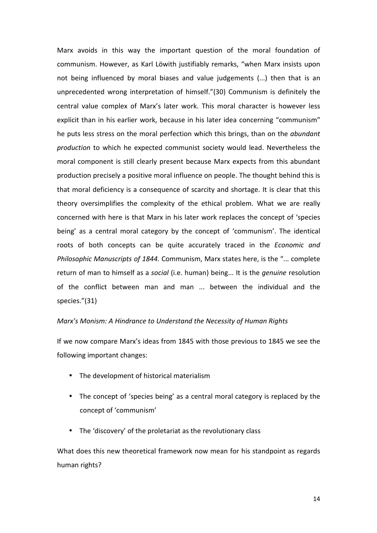Marx avoids in this way the important question of the moral foundation of communism. However, as Karl Löwith justifiably remarks, "when Marx insists upon not being influenced by moral biases and value judgements (...) then that is an unprecedented wrong interpretation of himself."(30) Communism is definitely the central value complex of Marx's later work. This moral character is however less explicit than in his earlier work, because in his later idea concerning "communism" he puts less stress on the moral perfection which this brings, than on the abundant production to which he expected communist society would lead. Nevertheless the moral component is still clearly present because Marx expects from this abundant production precisely a positive moral influence on people. The thought behind this is that moral deficiency is a consequence of scarcity and shortage. It is clear that this theory oversimplifies the complexity of the ethical problem. What we are really concerned with here is that Marx in his later work replaces the concept of 'species being' as a central moral category by the concept of 'communism'. The identical roots of both concepts can be quite accurately traced in the Economic and Philosophic Manuscripts of 1844. Communism, Marx states here, is the "... complete return of man to himself as a social (i.e. human) being... It is the *genuine* resolution of the conflict between man and man ... between the individual and the species."(31)

#### Marx's Monism: A Hindrance to Understand the Necessity of Human Rights

If we now compare Marx's ideas from 1845 with those previous to 1845 we see the following important changes:

- The development of historical materialism
- The concept of 'species being' as a central moral category is replaced by the concept of 'communism'
- The 'discovery' of the proletariat as the revolutionary class

What does this new theoretical framework now mean for his standpoint as regards human rights?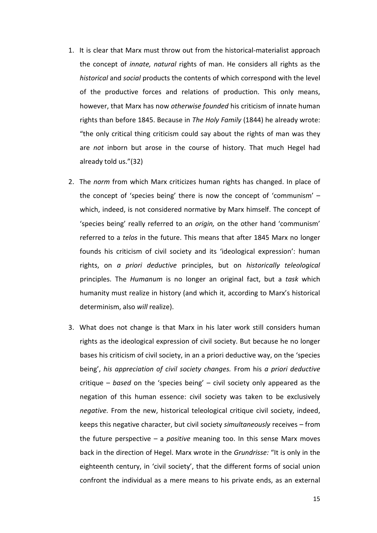- 1. It is clear that Marx must throw out from the historical-materialist approach the concept of innate, natural rights of man. He considers all rights as the historical and social products the contents of which correspond with the level of the productive forces and relations of production. This only means, however, that Marx has now otherwise founded his criticism of innate human rights than before 1845. Because in The Holy Family (1844) he already wrote: "the only critical thing criticism could say about the rights of man was they are not inborn but arose in the course of history. That much Hegel had already told us."(32)
- 2. The norm from which Marx criticizes human rights has changed. In place of the concept of 'species being' there is now the concept of 'communism' – which, indeed, is not considered normative by Marx himself. The concept of 'species being' really referred to an origin, on the other hand 'communism' referred to a *telos* in the future. This means that after 1845 Marx no longer founds his criticism of civil society and its 'ideological expression': human rights, on a priori deductive principles, but on historically teleological principles. The Humanum is no longer an original fact, but a task which humanity must realize in history (and which it, according to Marx's historical determinism, also will realize).
- 3. What does not change is that Marx in his later work still considers human rights as the ideological expression of civil society. But because he no longer bases his criticism of civil society, in an a priori deductive way, on the 'species being', his appreciation of civil society changes. From his a priori deductive critique – based on the 'species being' – civil society only appeared as the negation of this human essence: civil society was taken to be exclusively negative. From the new, historical teleological critique civil society, indeed, keeps this negative character, but civil society simultaneously receives – from the future perspective – a *positive* meaning too. In this sense Marx moves back in the direction of Hegel. Marx wrote in the Grundrisse: "It is only in the eighteenth century, in 'civil society', that the different forms of social union confront the individual as a mere means to his private ends, as an external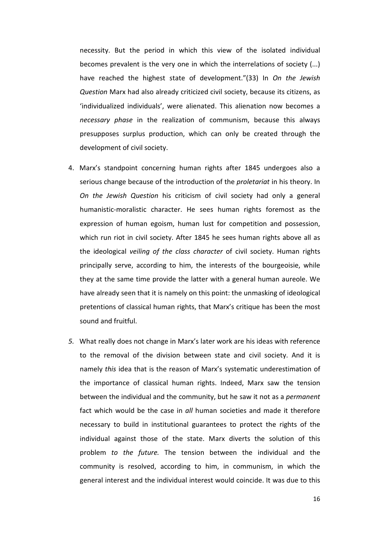necessity. But the period in which this view of the isolated individual becomes prevalent is the very one in which the interrelations of society (...) have reached the highest state of development."(33) In On the Jewish Question Marx had also already criticized civil society, because its citizens, as 'individualized individuals', were alienated. This alienation now becomes a necessary phase in the realization of communism, because this always presupposes surplus production, which can only be created through the development of civil society.

- 4. Marx's standpoint concerning human rights after 1845 undergoes also a serious change because of the introduction of the proletariat in his theory. In On the Jewish Question his criticism of civil society had only a general humanistic-moralistic character. He sees human rights foremost as the expression of human egoism, human lust for competition and possession, which run riot in civil society. After 1845 he sees human rights above all as the ideological veiling of the class character of civil society. Human rights principally serve, according to him, the interests of the bourgeoisie, while they at the same time provide the latter with a general human aureole. We have already seen that it is namely on this point: the unmasking of ideological pretentions of classical human rights, that Marx's critique has been the most sound and fruitful.
- 5. What really does not change in Marx's later work are his ideas with reference to the removal of the division between state and civil society. And it is namely this idea that is the reason of Marx's systematic underestimation of the importance of classical human rights. Indeed, Marx saw the tension between the individual and the community, but he saw it not as a permanent fact which would be the case in all human societies and made it therefore necessary to build in institutional guarantees to protect the rights of the individual against those of the state. Marx diverts the solution of this problem to the future. The tension between the individual and the community is resolved, according to him, in communism, in which the general interest and the individual interest would coincide. It was due to this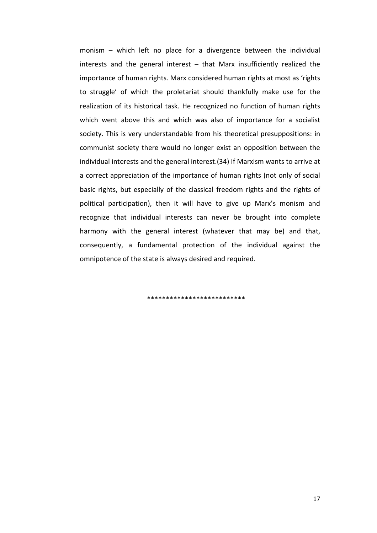monism – which left no place for a divergence between the individual interests and the general interest – that Marx insufficiently realized the importance of human rights. Marx considered human rights at most as 'rights to struggle' of which the proletariat should thankfully make use for the realization of its historical task. He recognized no function of human rights which went above this and which was also of importance for a socialist society. This is very understandable from his theoretical presuppositions: in communist society there would no longer exist an opposition between the individual interests and the general interest.(34) If Marxism wants to arrive at a correct appreciation of the importance of human rights (not only of social basic rights, but especially of the classical freedom rights and the rights of political participation), then it will have to give up Marx's monism and recognize that individual interests can never be brought into complete harmony with the general interest (whatever that may be) and that, consequently, a fundamental protection of the individual against the omnipotence of the state is always desired and required.

#### \*\*\*\*\*\*\*\*\*\*\*\*\*\*\*\*\*\*\*\*\*\*\*\*\*\*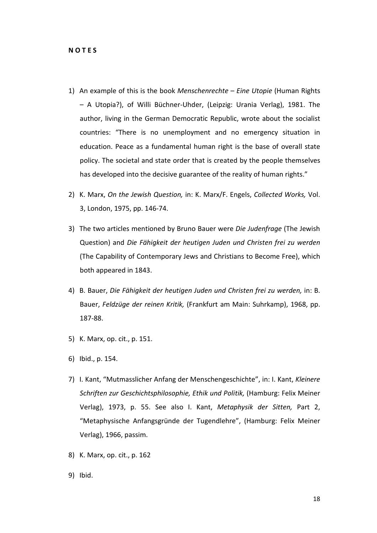- 1) An example of this is the book Menschenrechte Eine Utopie (Human Rights – A Utopia?), of Willi Büchner-Uhder, (Leipzig: Urania Verlag), 1981. The author, living in the German Democratic Republic, wrote about the socialist countries: "There is no unemployment and no emergency situation in education. Peace as a fundamental human right is the base of overall state policy. The societal and state order that is created by the people themselves has developed into the decisive guarantee of the reality of human rights."
- 2) K. Marx, On the Jewish Question, in: K. Marx/F. Engels, Collected Works, Vol. 3, London, 1975, pp. 146-74.
- 3) The two articles mentioned by Bruno Bauer were Die Judenfrage (The Jewish Question) and Die Fähigkeit der heutigen Juden und Christen frei zu werden (The Capability of Contemporary Jews and Christians to Become Free), which both appeared in 1843.
- 4) B. Bauer, Die Fähigkeit der heutigen Juden und Christen frei zu werden, in: B. Bauer, Feldzüge der reinen Kritik, (Frankfurt am Main: Suhrkamp), 1968, pp. 187-88.
- 5) K. Marx, op. cit., p. 151.
- 6) Ibid., p. 154.
- 7) I. Kant, "Mutmasslicher Anfang der Menschengeschichte", in: I. Kant, Kleinere Schriften zur Geschichtsphilosophie, Ethik und Politik, (Hamburg: Felix Meiner Verlag), 1973, p. 55. See also I. Kant, Metaphysik der Sitten, Part 2, "Metaphysische Anfangsgründe der Tugendlehre", (Hamburg: Felix Meiner Verlag), 1966, passim.
- 8) K. Marx, op. cit., p. 162
- 9) Ibid.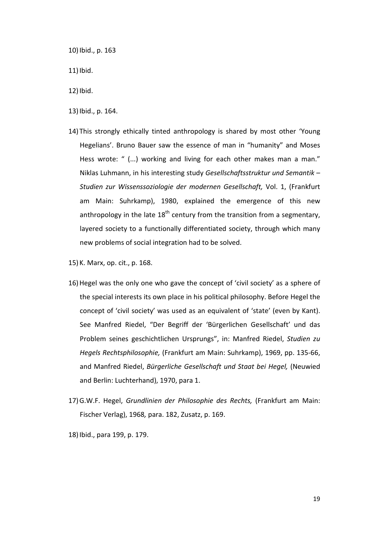10)Ibid., p. 163

11) Ibid.

12)Ibid.

- 13)Ibid., p. 164.
- 14) This strongly ethically tinted anthropology is shared by most other 'Young Hegelians'. Bruno Bauer saw the essence of man in "humanity" and Moses Hess wrote: " (...) working and living for each other makes man a man." Niklas Luhmann, in his interesting study Gesellschaftsstruktur und Semantik – Studien zur Wissenssoziologie der modernen Gesellschaft, Vol. 1, (Frankfurt am Main: Suhrkamp), 1980, explained the emergence of this new anthropology in the late  $18<sup>th</sup>$  century from the transition from a segmentary, layered society to a functionally differentiated society, through which many new problems of social integration had to be solved.
- 15)K. Marx, op. cit., p. 168.
- 16)Hegel was the only one who gave the concept of 'civil society' as a sphere of the special interests its own place in his political philosophy. Before Hegel the concept of 'civil society' was used as an equivalent of 'state' (even by Kant). See Manfred Riedel, "Der Begriff der 'Bürgerlichen Gesellschaft' und das Problem seines geschichtlichen Ursprungs", in: Manfred Riedel, Studien zu Hegels Rechtsphilosophie, (Frankfurt am Main: Suhrkamp), 1969, pp. 135-66, and Manfred Riedel, Bürgerliche Gesellschaft und Staat bei Hegel, (Neuwied and Berlin: Luchterhand), 1970, para 1.
- 17)G.W.F. Hegel, Grundlinien der Philosophie des Rechts, (Frankfurt am Main: Fischer Verlag), 1968, para. 182, Zusatz, p. 169.
- 18)Ibid., para 199, p. 179.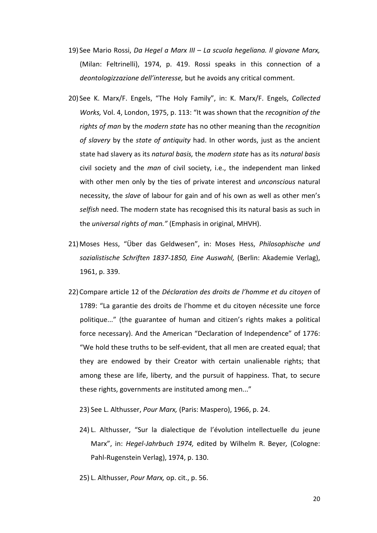- 19) See Mario Rossi, Da Hegel a Marx III La scuola hegeliana. Il giovane Marx, (Milan: Feltrinelli), 1974, p. 419. Rossi speaks in this connection of a deontologizzazione dell'interesse, but he avoids any critical comment.
- 20) See K. Marx/F. Engels, "The Holy Family", in: K. Marx/F. Engels, Collected Works, Vol. 4, London, 1975, p. 113: "It was shown that the recognition of the rights of man by the modern state has no other meaning than the recognition of slavery by the state of antiquity had. In other words, just as the ancient state had slavery as its natural basis, the modern state has as its natural basis civil society and the man of civil society, i.e., the independent man linked with other men only by the ties of private interest and *unconscious* natural necessity, the *slave* of labour for gain and of his own as well as other men's selfish need. The modern state has recognised this its natural basis as such in the universal rights of man." (Emphasis in original, MHVH).
- 21)Moses Hess, "Über das Geldwesen", in: Moses Hess, Philosophische und sozialistische Schriften 1837-1850, Eine Auswahl, (Berlin: Akademie Verlag), 1961, p. 339.
- 22)Compare article 12 of the Déclaration des droits de l'homme et du citoyen of 1789: "La garantie des droits de l'homme et du citoyen nécessite une force politique..." (the guarantee of human and citizen's rights makes a political force necessary). And the American "Declaration of Independence" of 1776: "We hold these truths to be self-evident, that all men are created equal; that they are endowed by their Creator with certain unalienable rights; that among these are life, liberty, and the pursuit of happiness. That, to secure these rights, governments are instituted among men..."
	- 23) See L. Althusser, Pour Marx, (Paris: Maspero), 1966, p. 24.
	- 24) L. Althusser, "Sur la dialectique de l'évolution intellectuelle du jeune Marx", in: Hegel-Jahrbuch 1974, edited by Wilhelm R. Beyer, (Cologne: Pahl-Rugenstein Verlag), 1974, p. 130.
	- 25) L. Althusser, Pour Marx, op. cit., p. 56.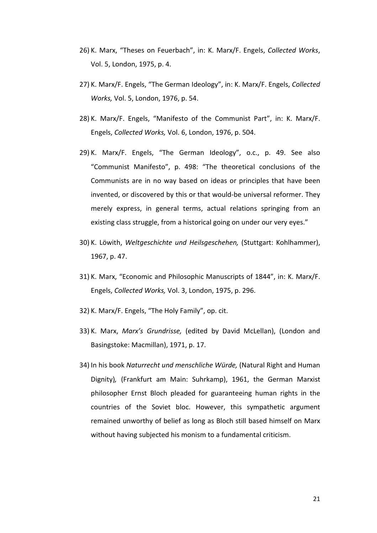- 26) K. Marx, "Theses on Feuerbach", in: K. Marx/F. Engels, Collected Works, Vol. 5, London, 1975, p. 4.
- 27) K. Marx/F. Engels, "The German Ideology", in: K. Marx/F. Engels, Collected Works, Vol. 5, London, 1976, p. 54.
- 28) K. Marx/F. Engels, "Manifesto of the Communist Part", in: K. Marx/F. Engels, Collected Works, Vol. 6, London, 1976, p. 504.
- 29) K. Marx/F. Engels, "The German Ideology", o.c., p. 49. See also "Communist Manifesto", p. 498: "The theoretical conclusions of the Communists are in no way based on ideas or principles that have been invented, or discovered by this or that would-be universal reformer. They merely express, in general terms, actual relations springing from an existing class struggle, from a historical going on under our very eyes."
- 30) K. Löwith, Weltgeschichte und Heilsgeschehen, (Stuttgart: Kohlhammer), 1967, p. 47.
- 31) K. Marx, "Economic and Philosophic Manuscripts of 1844", in: K. Marx/F. Engels, Collected Works, Vol. 3, London, 1975, p. 296.
- 32) K. Marx/F. Engels, "The Holy Family", op. cit.
- 33) K. Marx, Marx's Grundrisse, (edited by David McLellan), (London and Basingstoke: Macmillan), 1971, p. 17.
- 34) In his book Naturrecht und menschliche Würde, (Natural Right and Human Dignity), (Frankfurt am Main: Suhrkamp), 1961, the German Marxist philosopher Ernst Bloch pleaded for guaranteeing human rights in the countries of the Soviet bloc. However, this sympathetic argument remained unworthy of belief as long as Bloch still based himself on Marx without having subjected his monism to a fundamental criticism.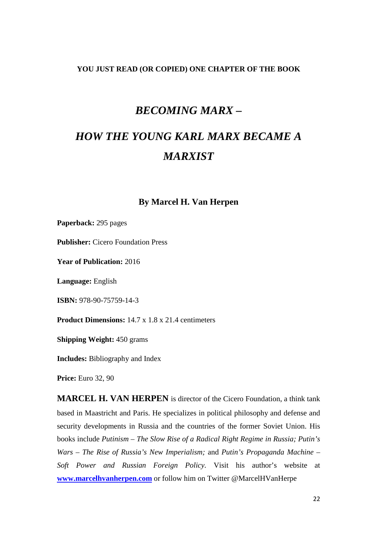#### **YOU JUST READ (OR COPIED) ONE CHAPTER OF THE BOOK**

# *BECOMING MARX –*

# *HOW THE YOUNG KARL MARX BECAME A MARXIST*

## **By Marcel H. Van Herpen**

**Paperback:** 295 pages

**Publisher:** Cicero Foundation Press

**Year of Publication:** 2016

**Language:** English

**ISBN:** 978-90-75759-14-3

**Product Dimensions:**  $14.7 \times 1.8 \times 21.4$  centimeters

**Shipping Weight:** 450 grams

**Includes:** Bibliography and Index

**Price:** Euro 32, 90

**MARCEL H. VAN HERPEN** is director of the Cicero Foundation, a think tank based in Maastricht and Paris. He specializes in political philosophy and defense and security developments in Russia and the countries of the former Soviet Union. His books include *Putinism – The Slow Rise of a Radical Right Regime in Russia; Putin's Wars – The Rise of Russia's New Imperialism;* and *Putin's Propaganda Machine – Soft Power and Russian Foreign Policy.* Visit his author's website at **www.marcelhvanherpen.com** or follow him on Twitter @MarcelHVanHerpe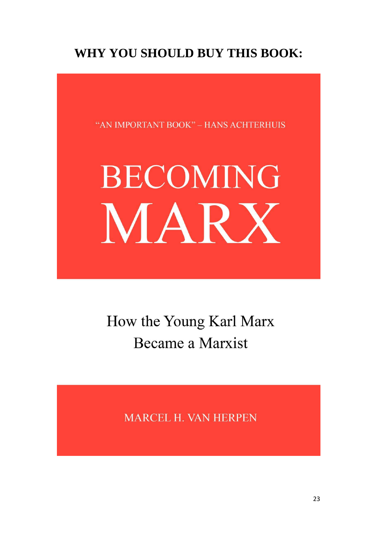# **WHY YOU SHOULD BUY THIS BOOK:**

"AN IMPORTANT BOOK" - HANS ACHTERHUIS

# **BECOMING** MARX

How the Young Karl Marx **Became a Marxist** 

MARCEL H. VAN HERPEN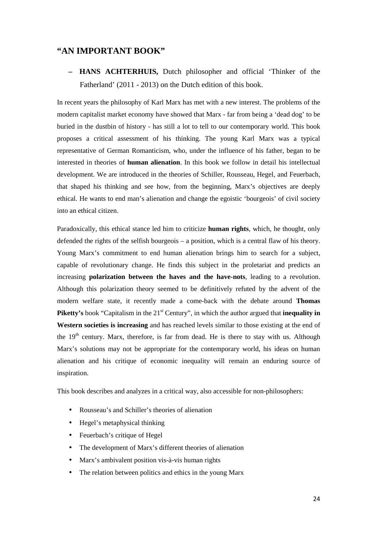#### **"AN IMPORTANT BOOK"**

**– HANS ACHTERHUIS,** Dutch philosopher and official 'Thinker of the Fatherland' (2011 - 2013) on the Dutch edition of this book.

In recent years the philosophy of Karl Marx has met with a new interest. The problems of the modern capitalist market economy have showed that Marx - far from being a 'dead dog' to be buried in the dustbin of history - has still a lot to tell to our contemporary world. This book proposes a critical assessment of his thinking. The young Karl Marx was a typical representative of German Romanticism, who, under the influence of his father, began to be interested in theories of **human alienation**. In this book we follow in detail his intellectual development. We are introduced in the theories of Schiller, Rousseau, Hegel, and Feuerbach, that shaped his thinking and see how, from the beginning, Marx's objectives are deeply ethical. He wants to end man's alienation and change the egoistic 'bourgeois' of civil society into an ethical citizen.

Paradoxically, this ethical stance led him to criticize **human rights**, which, he thought, only defended the rights of the selfish bourgeois – a position, which is a central flaw of his theory. Young Marx's commitment to end human alienation brings him to search for a subject, capable of revolutionary change. He finds this subject in the proletariat and predicts an increasing **polarization between the haves and the have-nots**, leading to a revolution. Although this polarization theory seemed to be definitively refuted by the advent of the modern welfare state, it recently made a come-back with the debate around **Thomas Piketty's** book "Capitalism in the 21<sup>st</sup> Century", in which the author argued that **inequality in Western societies is increasing** and has reached levels similar to those existing at the end of the  $19<sup>th</sup>$  century. Marx, therefore, is far from dead. He is there to stay with us. Although Marx's solutions may not be appropriate for the contemporary world, his ideas on human alienation and his critique of economic inequality will remain an enduring source of inspiration.

This book describes and analyzes in a critical way, also accessible for non-philosophers:

- Rousseau's and Schiller's theories of alienation
- Hegel's metaphysical thinking
- Feuerbach's critique of Hegel
- The development of Marx's different theories of alienation
- Marx's ambivalent position vis-à-vis human rights
- The relation between politics and ethics in the young Marx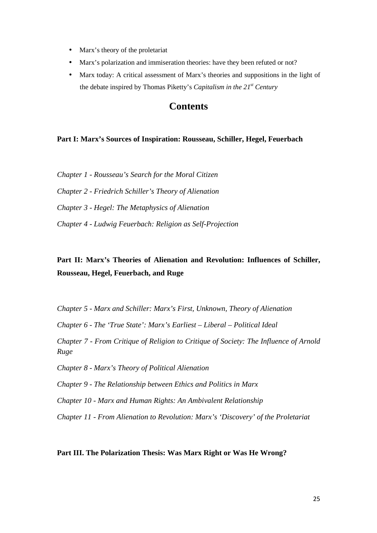- Marx's theory of the proletariat
- Marx's polarization and immiseration theories: have they been refuted or not?
- Marx today: A critical assessment of Marx's theories and suppositions in the light of the debate inspired by Thomas Piketty's *Capitalism in the 21st Century*

## **Contents**

#### **Part I: Marx's Sources of Inspiration: Rousseau, Schiller, Hegel, Feuerbach**

*Chapter 1 - Rousseau's Search for the Moral Citizen*

*Chapter 2 - Friedrich Schiller's Theory of Alienation* 

*Chapter 3 - Hegel: The Metaphysics of Alienation* 

*Chapter 4 - Ludwig Feuerbach: Religion as Self-Projection* 

## **Part II: Marx's Theories of Alienation and Revolution: Influences of Schiller, Rousseau, Hegel, Feuerbach, and Ruge**

*Chapter 5 - Marx and Schiller: Marx's First, Unknown, Theory of Alienation* 

*Chapter 6 - The 'True State': Marx's Earliest – Liberal – Political Ideal* 

*Chapter 7 - From Critique of Religion to Critique of Society: The Influence of Arnold Ruge* 

*Chapter 8 - Marx's Theory of Political Alienation* 

*Chapter 9 - The Relationship between Ethics and Politics in Marx* 

*Chapter 10 - Marx and Human Rights: An Ambivalent Relationship* 

*Chapter 11 - From Alienation to Revolution: Marx's 'Discovery' of the Proletariat* 

#### **Part III. The Polarization Thesis: Was Marx Right or Was He Wrong?**